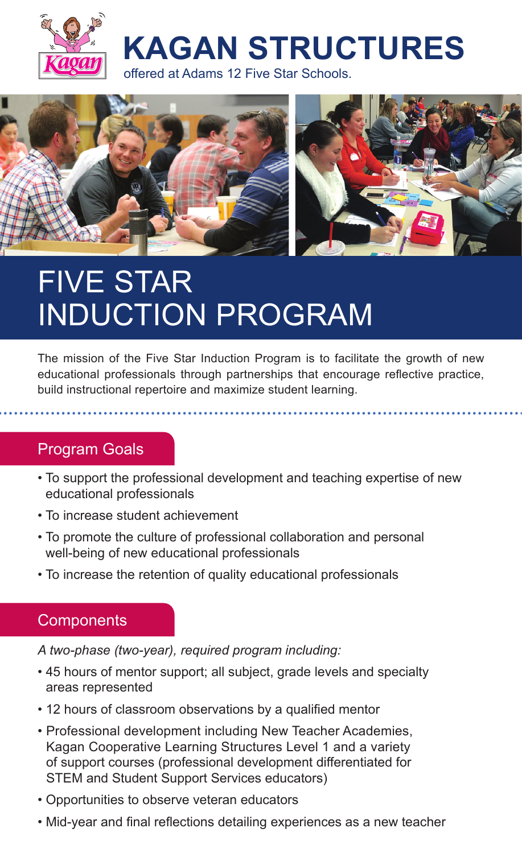

**KAGAN STRUCTURES**

offered at Adams 12 Five Star Schools.



# FIVE STAR INDUCTION PROGRAM

The mission of the Five Star Induction Program is to facilitate the growth of new educational professionals through partnerships that encourage reflective practice, build instructional repertoire and maximize student learning.

## Program Goals

- To support the professional development and teaching expertise of new educational professionals
- To increase student achievement
- To promote the culture of professional collaboration and personal well-being of new educational professionals
- To increase the retention of quality educational professionals

## **Components**

*A two-phase (two-year), required program including:*

- 45 hours of mentor support; all subject, grade levels and specialty areas represented
- 12 hours of classroom observations by a qualified mentor
- Professional development including New Teacher Academies, Kagan Cooperative Learning Structures Level 1 and a variety of support courses (professional development differentiated for STEM and Student Support Services educators)
- Opportunities to observe veteran educators
- Mid-year and final reflections detailing experiences as a new teacher